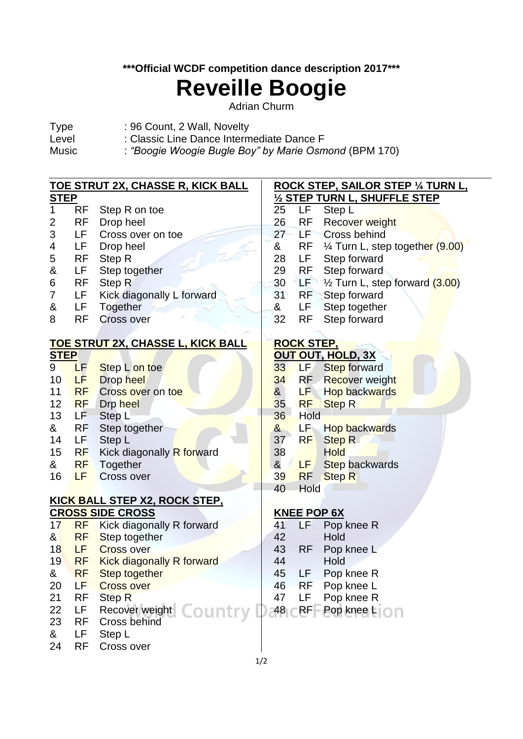## **\*\*\*Official WCDF competition dance description 2017\*\*\***

# **Reveille Boogie**

Adrian Churm

- Type : 96 Count, 2 Wall, Novelty
- Level : Classic Line Dance Intermediate Dance F<br>Music : "Boogie Woogie Bugle Boy" by Marie Osm
	- : "Boogie Woogie Bugle Boy" by Marie Osmond (BPM 170)

| <u>TOE STRUT 2X, CHASSE R, KICK BALL</u>            |                        | <u>ROCK STEP, SAILOR STEP ¼ TURN L,</u>            |  |  |  |  |
|-----------------------------------------------------|------------------------|----------------------------------------------------|--|--|--|--|
| <b>STEP</b>                                         |                        | 1/2 STEP TURN L, SHUFFLE STEP                      |  |  |  |  |
| 1<br><b>RF</b><br>Step R on toe                     | 25                     | LF<br>Step L                                       |  |  |  |  |
| <b>RF</b><br>Drop heel<br>2                         | 26                     | <b>RF</b><br><b>Recover weight</b>                 |  |  |  |  |
| 3<br>LF<br>Cross over on toe                        | 27                     | LF.<br><b>Cross behind</b>                         |  |  |  |  |
| LF<br>4<br>Drop heel                                | &                      | RF<br>1/4 Turn L, step together (9.00)             |  |  |  |  |
| <b>RF</b><br>Step R<br>5                            | 28                     | LF.<br>Step forward                                |  |  |  |  |
| &<br>LF<br>Step together                            | 29                     | Step forward<br>RF                                 |  |  |  |  |
| <b>RF</b><br>Step R<br>6                            | 30                     | LEN<br>$\frac{1}{2}$ Turn L, step forward $(3.00)$ |  |  |  |  |
| Kick diagonally L forward<br>LF<br>7                | 31                     | RF<br>Step forward                                 |  |  |  |  |
| &<br>LF<br>Together                                 | &                      | LF.<br>Step together                               |  |  |  |  |
| <b>RF</b><br><b>Cross over</b><br>8                 | 32                     | <b>RF</b><br>Step forward                          |  |  |  |  |
| TOE STRUT 2X, CHASSE L, KICK BALL                   |                        | <b>ROCK STEP,</b>                                  |  |  |  |  |
| <b>STEP</b>                                         |                        | <b>OUT OUT, HOLD, 3X</b>                           |  |  |  |  |
| $9^{\circ}$<br>LF<br>Step L on toe                  | 33 <sup>°</sup>        | LF/<br><b>Step forward</b>                         |  |  |  |  |
| 10<br><b>Drop heel</b><br>LF                        | 34                     | RF Recover weight                                  |  |  |  |  |
| 11<br><b>RF</b><br>Cross over on toe                | &                      | <b>Hop backwards</b><br>LF                         |  |  |  |  |
| 12<br><b>RF</b><br>Drp heel                         | 35                     | <b>RF</b><br><b>Step R</b>                         |  |  |  |  |
| 13<br>LF<br>Step L                                  | 36                     | Hold                                               |  |  |  |  |
| <b>RF</b><br>&<br>Step together                     | &                      | LF<br>Hop backwards                                |  |  |  |  |
| Step L<br>14<br>LF                                  | 37                     | <b>Step R</b><br>RF                                |  |  |  |  |
| 15<br>RF<br>Kick diagonally R forward               | 38                     | <b>Hold</b>                                        |  |  |  |  |
| &<br><b>RF</b><br>Together                          | &                      | LF,<br><b>Step backwards</b>                       |  |  |  |  |
| 16<br>LF<br>Cross over                              | 39                     | <b>Step R</b><br><b>RF</b>                         |  |  |  |  |
|                                                     | 40                     | Hold                                               |  |  |  |  |
| <u>KICK BALL STEP X2, ROCK STEP,</u>                |                        |                                                    |  |  |  |  |
| <b>CROSS SIDE CROSS</b>                             |                        | <b>KNEE POP 6X</b>                                 |  |  |  |  |
| <b>RF</b> Kick diagonally R forward<br>17           | 41                     | LF<br>Pop knee R                                   |  |  |  |  |
| 8 <sub>l</sub><br><b>RF</b><br>Step together        | 42                     | Hold                                               |  |  |  |  |
| 18<br>LF<br><b>Cross over</b>                       | 43                     | <b>RF</b><br>Pop knee L                            |  |  |  |  |
| 19<br><b>RF</b><br><b>Kick diagonally R forward</b> | 44                     | Hold                                               |  |  |  |  |
| <b>RF</b><br>&<br>Step together                     | 45                     | Pop knee R<br>LF                                   |  |  |  |  |
| LF<br>20<br><b>Cross over</b>                       | 46                     | <b>RF</b><br>Pop knee L                            |  |  |  |  |
| 21<br><b>RF</b><br><b>Step R</b>                    | 47                     | LF<br>Pop knee R                                   |  |  |  |  |
| 22<br>LF<br>Recover weight                          | <b>Country L</b><br>48 | <b>RF</b><br>Pop knee LIOn                         |  |  |  |  |
| 23<br><b>RF</b><br>Cross behind                     |                        |                                                    |  |  |  |  |
| &<br>LF<br>Step L                                   |                        |                                                    |  |  |  |  |
| <b>RF</b><br>24<br>Cross over                       |                        |                                                    |  |  |  |  |